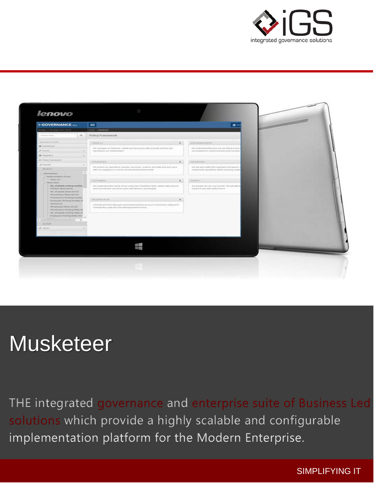



# **Musketeer**

THE integrated governance and enterprise suite of Business Led solutions which provide a highly scalable and configurable implementation platform for the Modern Enterprise.

SIMPLIFYING IT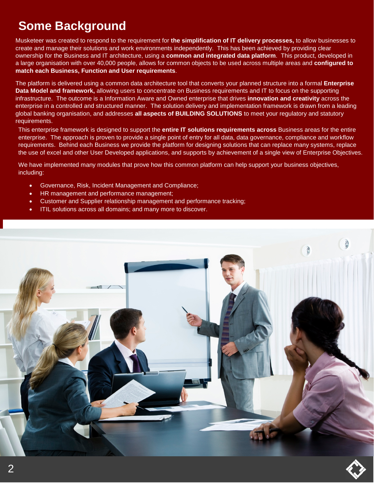### **Some Background**

Musketeer was created to respond to the requirement for **the simplification of IT delivery processes,** to allow businesses to create and manage their solutions and work environments independently. This has been achieved by providing clear ownership for the Business and IT architecture, using a **common and integrated data platform**. This product, developed in a large organisation with over 40,000 people, allows for common objects to be used across multiple areas and **configured to match each Business, Function and User requirements**.

The platform is delivered using a common data architecture tool that converts your planned structure into a formal **Enterprise Data Model and framework,** allowing users to concentrate on Business requirements and IT to focus on the supporting infrastructure. The outcome is a Information Aware and Owned enterprise that drives **innovation and creativity** across the enterprise in a controlled and structured manner. The solution delivery and implementation framework is drawn from a leading global banking organisation, and addresses **all aspects of BUILDING SOLUTIONS** to meet your regulatory and statutory requirements.

This enterprise framework is designed to support the **entire IT solutions requirements across** Business areas for the entire enterprise. The approach is proven to provide a single point of entry for all data, data governance, compliance and workflow requirements. Behind each Business we provide the platform for designing solutions that can replace many systems, replace the use of excel and other User Developed applications, and supports by achievement of a single view of Enterprise Objectives.

We have implemented many modules that prove how this common platform can help support your business objectives, including:

- Governance, Risk, Incident Management and Compliance;
- HR management and performance management;
- Customer and Supplier relationship management and performance tracking;
- ITIL solutions across all domains; and many more to discover.



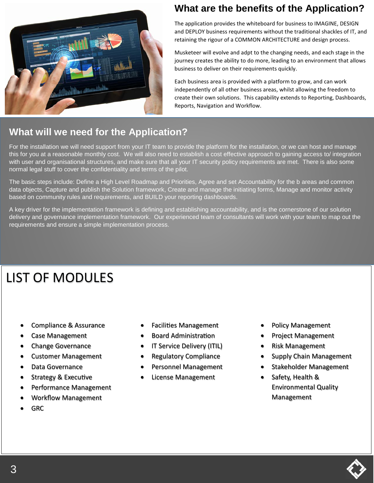

#### **What are the benefits of the Application?**

The application provides the whiteboard for business to IMAGINE, DESIGN and DEPLOY business requirements without the traditional shackles of IT, and retaining the rigour of a COMMON ARCHITECTURE and design process.

Musketeer will evolve and adpt to the changing needs, and each stage in the journey creates the ability to do more, leading to an environment that allows business to deliver on their requirements quickly.

Each business area is provided with a platform to grow, and can work independently of all other business areas, whilst allowing the freedom to create their own solutions. This capability extends to Reporting, Dashboards, Reports, Navigation and Workflow.

#### **What will we need for the Application?**

For the installation we will need support from your IT team to provide the platform for the installation, or we can host and manage this for you at a reasonable monthly cost. We will also need to establish a cost effective approach to gaining access to/ integration with user and organisational structures, and make sure that all your IT security policy requirements are met. There is also some normal legal stuff to cover the confidentiality and terms of the pilot.

The basic steps include: Define a High Level Roadmap and Priorities, Agree and set Accountability for the b areas and common data objects, Capture and publish the Solution framework, Create and manage the initiating forms, Manage and monitor activity based on community rules and requirements, and BUILD your reporting dashboards.

A key driver for the implementation framework is defining and establishing accountability, and is the cornerstone of our solution delivery and governance implementation framework. Our experienced team of consultants will work with your team to map out the requirements and ensure a simple implementation process.

## LIST OF MODULES

- Compliance & Assurance
- Case Management
- Change Governance
- Customer Management
- Data Governance
- Strategy & Executive
- Performance Management
- Workflow Management
- GRC
- Facilities Management
- Board Administration
- IT Service Delivery (ITIL)
- Regulatory Compliance
- Personnel Management
- License Management
- Policy Management
- Project Management
- Risk Management
- Supply Chain Management
- Stakeholder Management
- Safety, Health & Environmental Quality Management